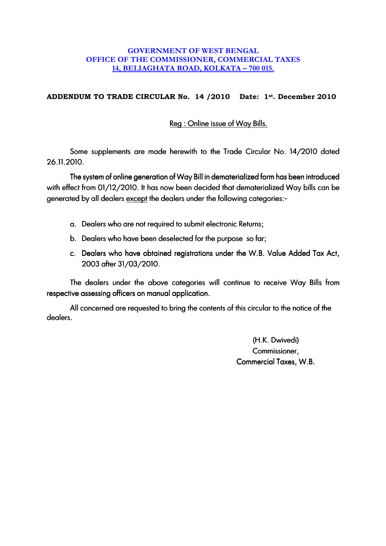## **GOVERNMENT OF WEST BENGAL OFFICE OF THE COMMISSIONER, COMMERCIAL TAXES 14, BELIAGHATA ROAD, KOLKATA – 700 015.**

## **ADDENDUM TO TRADE CIRCULAR No. 14 /2010 Date: 1st. December 2010**

Reg : Online issue of Way Bills.

Some supplements are made herewith to the Trade Circular No. 14/2010 dated 26.11.2010.

The system of online generation of Way Bill in dematerialized form has been introduced with effect from 01/12/2010. It has now been decided that dematerialized Way bills can be generated by all dealers except the dealers under the following categories:-

- a. Dealers who are not required to submit electronic Returns;
- b. Dealers who have been deselected for the purpose so far:
- c. Dealers who have obtained registrations under the W.B. Value Added Tax Act, 2003 after 31/03/2010.

The dealers under the above categories will continue to receive Way Bills from respective assessing officers on manual application.

All concerned are requested to bring the contents of this circular to the notice of the dealers.

> (H.K. Dwivedi) Commissioner, Commercial Taxes, W.B.